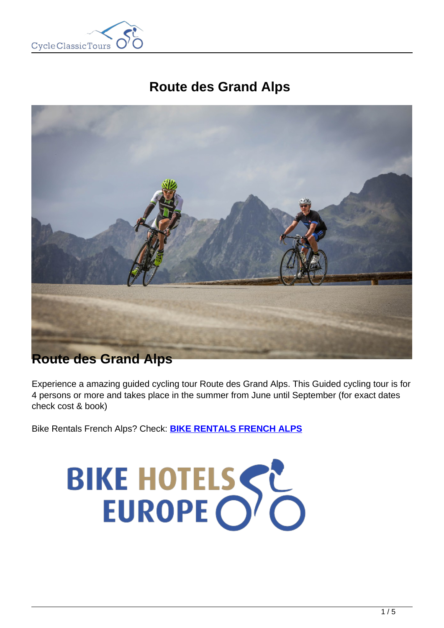

# **Route des Grand Alps**



# **Route des Grand Alps**

Experience a amazing guided cycling tour Route des Grand Alps. This Guided cycling tour is for 4 persons or more and takes place in the summer from June until September (for exact dates check cost & book)

Bike Rentals French Alps? Check: **[BIKE RENTALS FRENCH ALPS](https://www.cctbikerental.com/location/french-alps-bike-rentals/)**

# BIKE HOTELSSE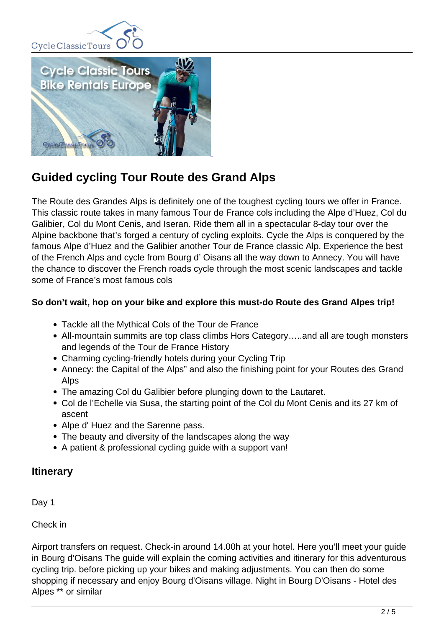



# **Guided cycling Tour Route des Grand Alps**

The Route des Grandes Alps is definitely one of the toughest cycling tours we offer in France. This classic route takes in many famous Tour de France cols including the Alpe d'Huez, Col du Galibier, Col du Mont Cenis, and Iseran. Ride them all in a spectacular 8-day tour over the Alpine backbone that's forged a century of cycling exploits. Cycle the Alps is conquered by the famous Alpe d'Huez and the Galibier another Tour de France classic Alp. Experience the best of the French Alps and cycle from Bourg d' Oisans all the way down to Annecy. You will have the chance to discover the French roads cycle through the most scenic landscapes and tackle some of France's most famous cols

# **So don't wait, hop on your bike and explore this must-do Route des Grand Alpes trip!**

- Tackle all the Mythical Cols of the Tour de France
- All-mountain summits are top class climbs Hors Category…..and all are tough monsters and legends of the Tour de France History
- Charming cycling-friendly hotels during your Cycling Trip
- Annecy: the Capital of the Alps" and also the finishing point for your Routes des Grand Alps
- The amazing Col du Galibier before plunging down to the Lautaret.
- Col de l'Echelle via Susa, the starting point of the Col du Mont Cenis and its 27 km of ascent
- Alpe d' Huez and the Sarenne pass.
- The beauty and diversity of the landscapes along the way
- A patient & professional cycling quide with a support van!

# **Itinerary**

Day 1

Check in

Airport transfers on request. Check-in around 14.00h at your hotel. Here you'll meet your guide in Bourg d'Oisans The guide will explain the coming activities and itinerary for this adventurous cycling trip. before picking up your bikes and making adjustments. You can then do some shopping if necessary and enjoy Bourg d'Oisans village. Night in Bourg D'Oisans - Hotel des Alpes \*\* or similar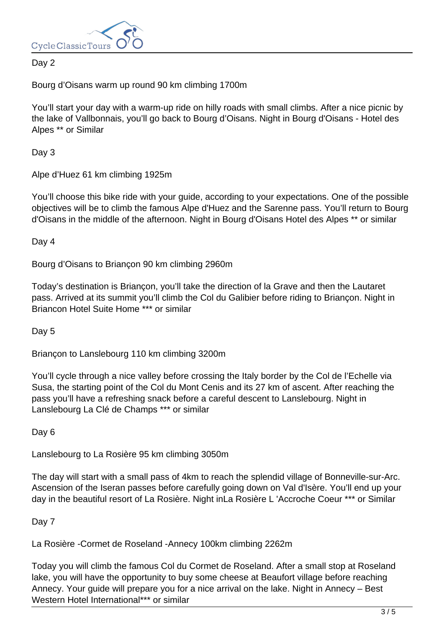

# Day 2

Bourg d'Oisans warm up round 90 km climbing 1700m

You'll start your day with a warm-up ride on hilly roads with small climbs. After a nice picnic by the lake of Vallbonnais, you'll go back to Bourg d'Oisans. Night in Bourg d'Oisans - Hotel des Alpes \*\* or Similar

Day 3

Alpe d'Huez 61 km climbing 1925m

You'll choose this bike ride with your guide, according to your expectations. One of the possible objectives will be to climb the famous Alpe d'Huez and the Sarenne pass. You'll return to Bourg d'Oisans in the middle of the afternoon. Night in Bourg d'Oisans Hotel des Alpes \*\* or similar

Day 4

Bourg d'Oisans to Briançon 90 km climbing 2960m

Today's destination is Briançon, you'll take the direction of la Grave and then the Lautaret pass. Arrived at its summit you'll climb the Col du Galibier before riding to Briançon. Night in Briancon Hotel Suite Home \*\*\* or similar

Day 5

Briançon to Lanslebourg 110 km climbing 3200m

You'll cycle through a nice valley before crossing the Italy border by the Col de l'Echelle via Susa, the starting point of the Col du Mont Cenis and its 27 km of ascent. After reaching the pass you'll have a refreshing snack before a careful descent to Lanslebourg. Night in Lanslebourg La Clé de Champs \*\*\* or similar

Day 6

Lanslebourg to La Rosière 95 km climbing 3050m

The day will start with a small pass of 4km to reach the splendid village of Bonneville-sur-Arc. Ascension of the Iseran passes before carefully going down on Val d'Isère. You'll end up your day in the beautiful resort of La Rosière. Night inLa Rosière L 'Accroche Coeur \*\*\* or Similar

Day 7

La Rosière -Cormet de Roseland -Annecy 100km climbing 2262m

Today you will climb the famous Col du Cormet de Roseland. After a small stop at Roseland lake, you will have the opportunity to buy some cheese at Beaufort village before reaching Annecy. Your guide will prepare you for a nice arrival on the lake. Night in Annecy – Best Western Hotel International\*\*\* or similar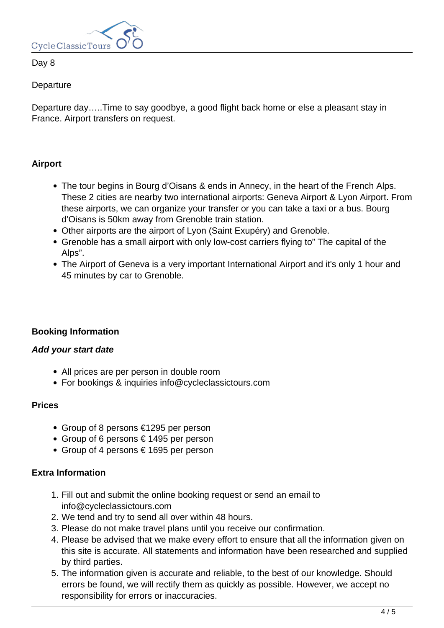

Day 8

**Departure** 

Departure day…..Time to say goodbye, a good flight back home or else a pleasant stay in France. Airport transfers on request.

# **Airport**

- The tour begins in Bourg d'Oisans & ends in Annecy, in the heart of the French Alps. These 2 cities are nearby two international airports: Geneva Airport & Lyon Airport. From these airports, we can organize your transfer or you can take a taxi or a bus. Bourg d'Oisans is 50km away from Grenoble train station.
- Other airports are the airport of Lyon (Saint Exupéry) and Grenoble.
- Grenoble has a small airport with only low-cost carriers flying to" The capital of the Alps".
- The Airport of Geneva is a very important International Airport and it's only 1 hour and 45 minutes by car to Grenoble.

# **Booking Information**

# **Add your start date**

- All prices are per person in double room
- For bookings & inquiries info@cycleclassictours.com

#### **Prices**

- Group of 8 persons €1295 per person
- Group of 6 persons € 1495 per person
- Group of 4 persons € 1695 per person

# **Extra Information**

- 1. Fill out and submit the online booking request or send an email to info@cycleclassictours.com
- 2. We tend and try to send all over within 48 hours.
- 3. Please do not make travel plans until you receive our confirmation.
- 4. Please be advised that we make every effort to ensure that all the information given on this site is accurate. All statements and information have been researched and supplied by third parties.
- 5. The information given is accurate and reliable, to the best of our knowledge. Should errors be found, we will rectify them as quickly as possible. However, we accept no responsibility for errors or inaccuracies.